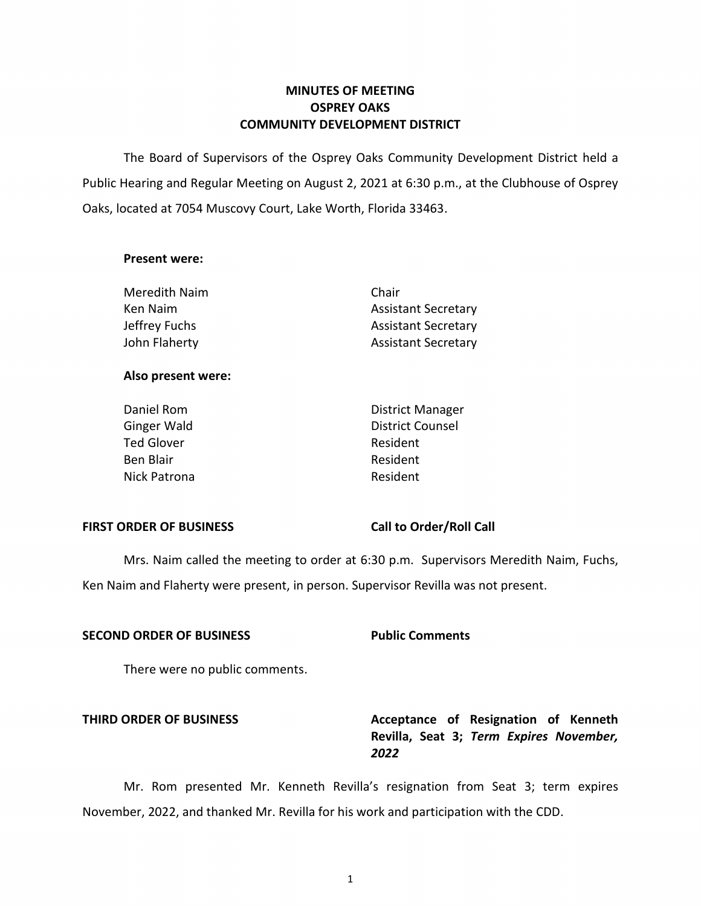## **MINUTES OF MEETING OSPREY OAKS COMMUNITY DEVELOPMENT DISTRICT**

 The Board of Supervisors of the Osprey Oaks Community Development District held a Public Hearing and Regular Meeting on August 2, 2021 at 6:30 p.m., at the Clubhouse of Osprey Oaks, located at 7054 Muscovy Court, Lake Worth, Florida 33463.

### **Present were:**

| Meredith Naim | Chair                      |
|---------------|----------------------------|
| Ken Naim      | <b>Assistant Secretary</b> |
| Jeffrey Fuchs | <b>Assistant Secretary</b> |
| John Flaherty | <b>Assistant Secretary</b> |

## **Also present were:**

| Daniel Rom        | <b>District Manager</b> |
|-------------------|-------------------------|
| Ginger Wald       | <b>District Counsel</b> |
| <b>Ted Glover</b> | Resident                |
| Ben Blair         | Resident                |
| Nick Patrona      | Resident                |

## FIRST ORDER OF BUSINESS Call to Order/Roll Call

 Mrs. Naim called the meeting to order at 6:30 p.m. Supervisors Meredith Naim, Fuchs, Ken Naim and Flaherty were present, in person. Supervisor Revilla was not present.

## **SECOND ORDER OF BUSINESS Public Comments**

There were no public comments.

# **THIRD ORDER OF BUSINESS** Acceptance of Resignation of Kenneth **Revilla, Seat 3;** *Term Expires November, 2022*

Mr. Rom presented Mr. Kenneth Revilla's resignation from Seat 3; term expires November, 2022, and thanked Mr. Revilla for his work and participation with the CDD.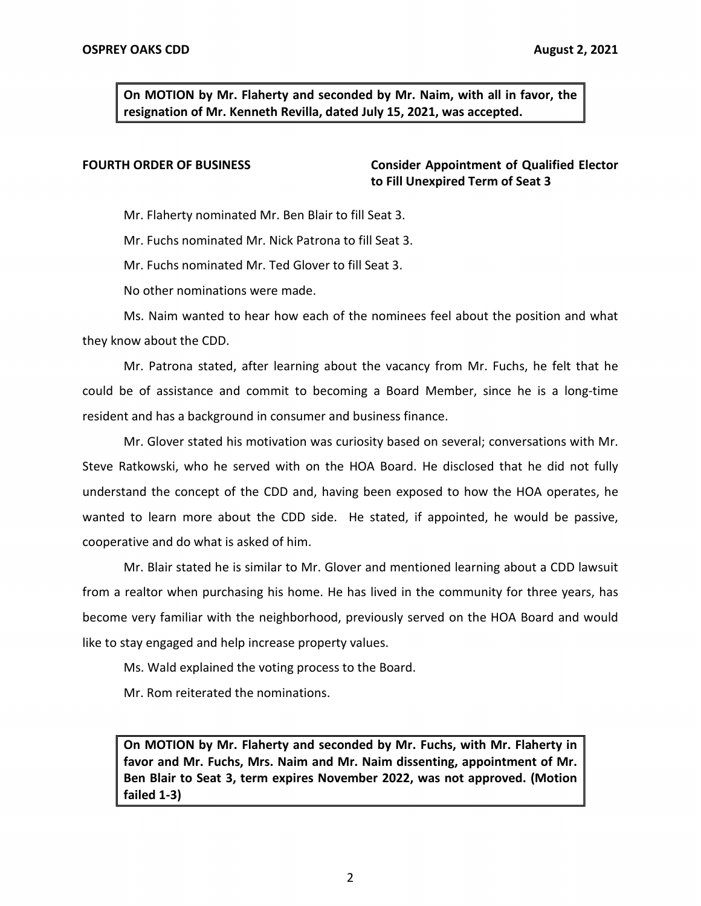**On MOTION by Mr. Flaherty and seconded by Mr. Naim, with all in favor, the resignation of Mr. Kenneth Revilla, dated July 15, 2021, was accepted.** 

**FOURTH ORDER OF BUSINESS Consider Appointment of Qualified Elector to Fill Unexpired Term of Seat 3** 

Mr. Flaherty nominated Mr. Ben Blair to fill Seat 3.

Mr. Fuchs nominated Mr. Nick Patrona to fill Seat 3.

Mr. Fuchs nominated Mr. Ted Glover to fill Seat 3.

No other nominations were made.

Ms. Naim wanted to hear how each of the nominees feel about the position and what they know about the CDD.

Mr. Patrona stated, after learning about the vacancy from Mr. Fuchs, he felt that he could be of assistance and commit to becoming a Board Member, since he is a long-time resident and has a background in consumer and business finance.

Mr. Glover stated his motivation was curiosity based on several; conversations with Mr. Steve Ratkowski, who he served with on the HOA Board. He disclosed that he did not fully understand the concept of the CDD and, having been exposed to how the HOA operates, he wanted to learn more about the CDD side. He stated, if appointed, he would be passive, cooperative and do what is asked of him.

Mr. Blair stated he is similar to Mr. Glover and mentioned learning about a CDD lawsuit from a realtor when purchasing his home. He has lived in the community for three years, has become very familiar with the neighborhood, previously served on the HOA Board and would like to stay engaged and help increase property values.

Ms. Wald explained the voting process to the Board.

Mr. Rom reiterated the nominations.

 **On MOTION by Mr. Flaherty and seconded by Mr. Fuchs, with Mr. Flaherty in favor and Mr. Fuchs, Mrs. Naim and Mr. Naim dissenting, appointment of Mr. Ben Blair to Seat 3, term expires November 2022, was not approved. (Motion failed 1-3)**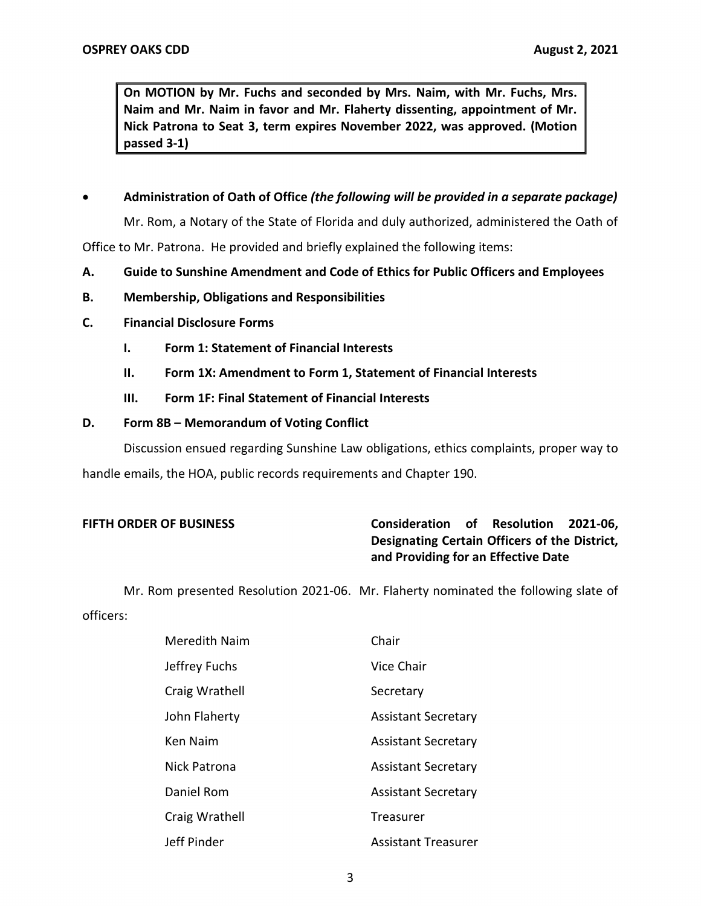**On MOTION by Mr. Fuchs and seconded by Mrs. Naim, with Mr. Fuchs, Mrs. Naim and Mr. Naim in favor and Mr. Flaherty dissenting, appointment of Mr. Nick Patrona to Seat 3, term expires November 2022, was approved. (Motion passed 3-1)** 

## • **Administration of Oath of Office** *(the following will be provided in a separate package)*

 Mr. Rom, a Notary of the State of Florida and duly authorized, administered the Oath of Office to Mr. Patrona. He provided and briefly explained the following items:

- **A. Guide to Sunshine Amendment and Code of Ethics for Public Officers and Employees**
- **B. Membership, Obligations and Responsibilities**
- **C. Financial Disclosure Forms** 
	- **I. Form 1: Statement of Financial Interests**
	- **II. Form 1X: Amendment to Form 1, Statement of Financial Interests**
	- **III. Form 1F: Final Statement of Financial Interests**

## **D. Form 8B – Memorandum of Voting Conflict**

Discussion ensued regarding Sunshine Law obligations, ethics complaints, proper way to handle emails, the HOA, public records requirements and Chapter 190.

# **FIFTH ORDER OF BUSINESS Consideration of Resolution 2021-06, and Providing for an Effective Date Designating Certain Officers of the District,**

Mr. Rom presented Resolution 2021-06. Mr. Flaherty nominated the following slate of officers:

| Meredith Naim  | Chair                      |
|----------------|----------------------------|
| Jeffrey Fuchs  | Vice Chair                 |
| Craig Wrathell | Secretary                  |
| John Flaherty  | <b>Assistant Secretary</b> |
| Ken Naim       | <b>Assistant Secretary</b> |
| Nick Patrona   | <b>Assistant Secretary</b> |
| Daniel Rom     | <b>Assistant Secretary</b> |
| Craig Wrathell | Treasurer                  |
| Jeff Pinder    | <b>Assistant Treasurer</b> |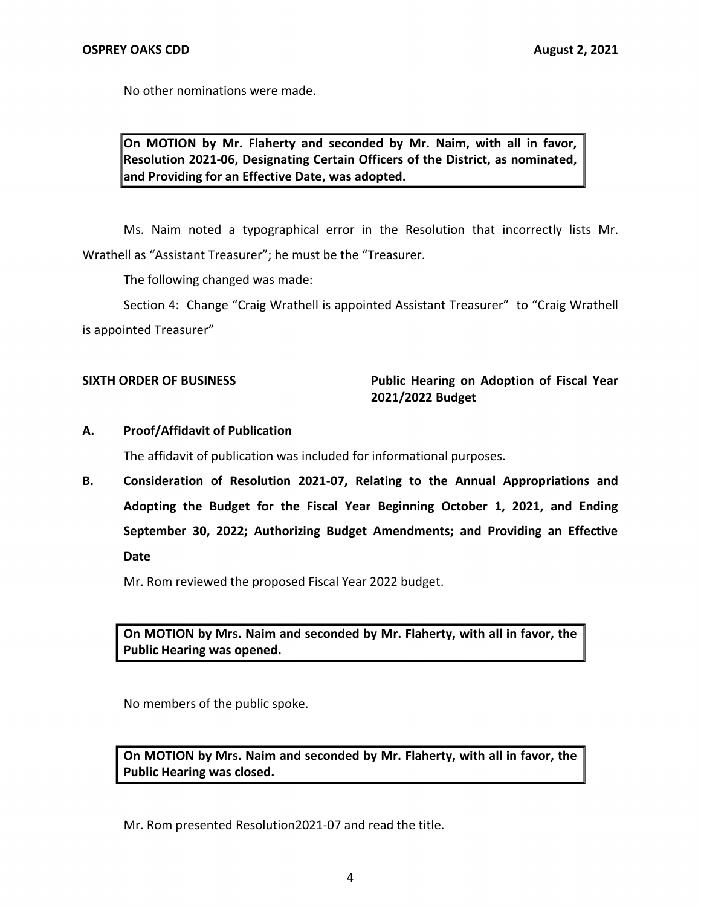No other nominations were made.

 **On MOTION by Mr. Flaherty and seconded by Mr. Naim, with all in favor, and Providing for an Effective Date, was adopted. Resolution 2021-06, Designating Certain Officers of the District, as nominated,** 

Ms. Naim noted a typographical error in the Resolution that incorrectly lists Mr. Wrathell as "Assistant Treasurer"; he must be the "Treasurer.

The following changed was made:

Section 4: Change "Craig Wrathell is appointed Assistant Treasurer" to "Craig Wrathell is appointed Treasurer"

## **SIXTH ORDER OF BUSINESS Public Hearing on Adoption of Fiscal Year 2021/2022 Budget**

## **A. Proof/Affidavit of Publication**

The affidavit of publication was included for informational purposes.

 **B. Consideration of Resolution 2021-07, Relating to the Annual Appropriations and Adopting the Budget for the Fiscal Year Beginning October 1, 2021, and Ending September 30, 2022; Authorizing Budget Amendments; and Providing an Effective Date** 

Mr. Rom reviewed the proposed Fiscal Year 2022 budget.

 **On MOTION by Mrs. Naim and seconded by Mr. Flaherty, with all in favor, the Public Hearing was opened.** 

No members of the public spoke.

 **On MOTION by Mrs. Naim and seconded by Mr. Flaherty, with all in favor, the Public Hearing was closed.** 

Mr. Rom presented Resolution2021-07 and read the title.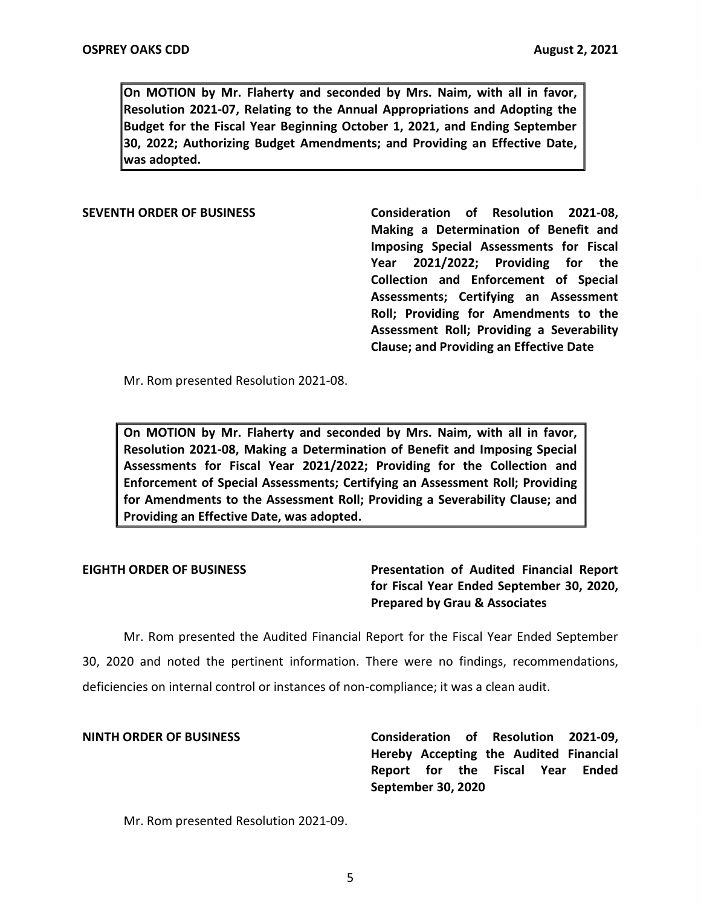**On MOTION by Mr. Flaherty and seconded by Mrs. Naim, with all in favor, Resolution 2021-07, Relating to the Annual Appropriations and Adopting the Budget for the Fiscal Year Beginning October 1, 2021, and Ending September 30, 2022; Authorizing Budget Amendments; and Providing an Effective Date, was adopted.** 

### **SEVENTH ORDER OF BUSINESS**

 **Consideration of Resolution 2021-08, Making a Determination of Benefit and Imposing Special Assessments for Fiscal Year 2021/2022; Providing for the Collection and Enforcement of Special Assessments; Certifying an Assessment Roll; Providing for Amendments to the Assessment Roll; Providing a Severability Clause; and Providing an Effective Date** 

Mr. Rom presented Resolution 2021-08.

 **On MOTION by Mr. Flaherty and seconded by Mrs. Naim, with all in favor, Resolution 2021-08, Making a Determination of Benefit and Imposing Special Assessments for Fiscal Year 2021/2022; Providing for the Collection and Enforcement of Special Assessments; Certifying an Assessment Roll; Providing for Amendments to the Assessment Roll; Providing a Severability Clause; and Providing an Effective Date, was adopted.** 

**EIGHTH ORDER OF BUSINESS Presentation of Audited Financial Report for Fiscal Year Ended September 30, 2020, Prepared by Grau & Associates** 

 Mr. Rom presented the Audited Financial Report for the Fiscal Year Ended September 30, 2020 and noted the pertinent information. There were no findings, recommendations, deficiencies on internal control or instances of non-compliance; it was a clean audit.

 **NINTH ORDER OF BUSINESS Consideration of Resolution 2021-09, Hereby Accepting the Audited Financial Report for the Fiscal Year Ended September 30, 2020** 

Mr. Rom presented Resolution 2021-09.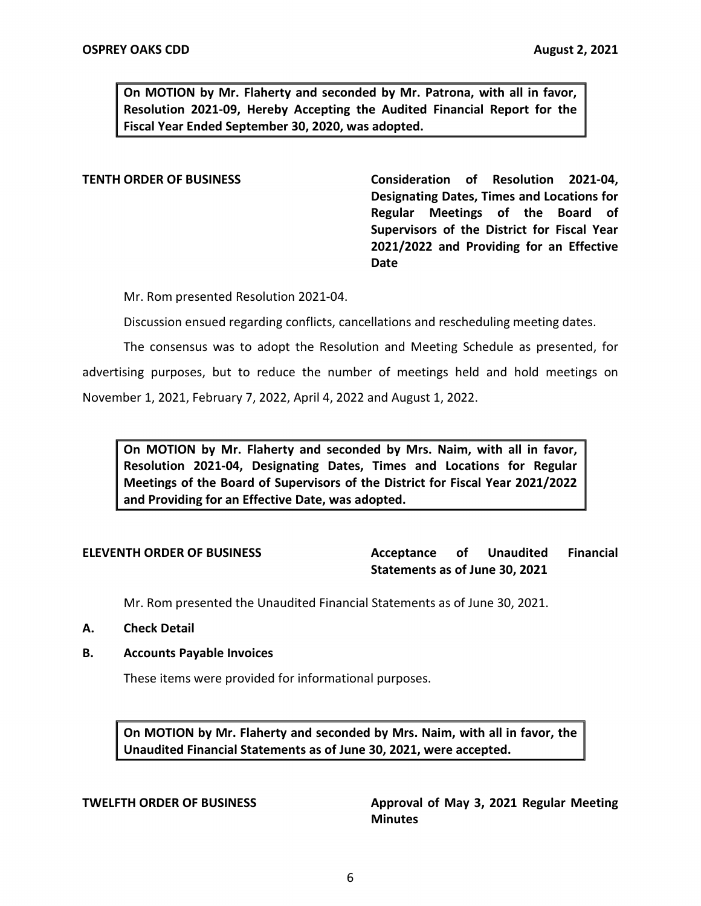**On MOTION by Mr. Flaherty and seconded by Mr. Patrona, with all in favor, Resolution 2021-09, Hereby Accepting the Audited Financial Report for the Fiscal Year Ended September 30, 2020, was adopted.** 

 **TENTH ORDER OF BUSINESS Consideration of Resolution 2021-04, Designating Dates, Times and Locations for Regular Meetings of the Board of Supervisors of the District for Fiscal Year 2021/2022 and Providing for an Effective Date** 

Mr. Rom presented Resolution 2021-04.

Discussion ensued regarding conflicts, cancellations and rescheduling meeting dates.

The consensus was to adopt the Resolution and Meeting Schedule as presented, for advertising purposes, but to reduce the number of meetings held and hold meetings on November 1, 2021, February 7, 2022, April 4, 2022 and August 1, 2022.

 **On MOTION by Mr. Flaherty and seconded by Mrs. Naim, with all in favor, Resolution 2021-04, Designating Dates, Times and Locations for Regular Meetings of the Board of Supervisors of the District for Fiscal Year 2021/2022 and Providing for an Effective Date, was adopted.** 

**ELEVENTH ORDER OF BUSINESS Acceptance of Unaudited Financial Statements as of June 30, 2021** 

Mr. Rom presented the Unaudited Financial Statements as of June 30, 2021.

- **A. Check Detail**
- **B. Accounts Payable Invoices**

These items were provided for informational purposes.

 **On MOTION by Mr. Flaherty and seconded by Mrs. Naim, with all in favor, the Unaudited Financial Statements as of June 30, 2021, were accepted.** 

**TWELFTH ORDER OF BUSINESS Approval of May 3, 2021 Regular Meeting Minutes**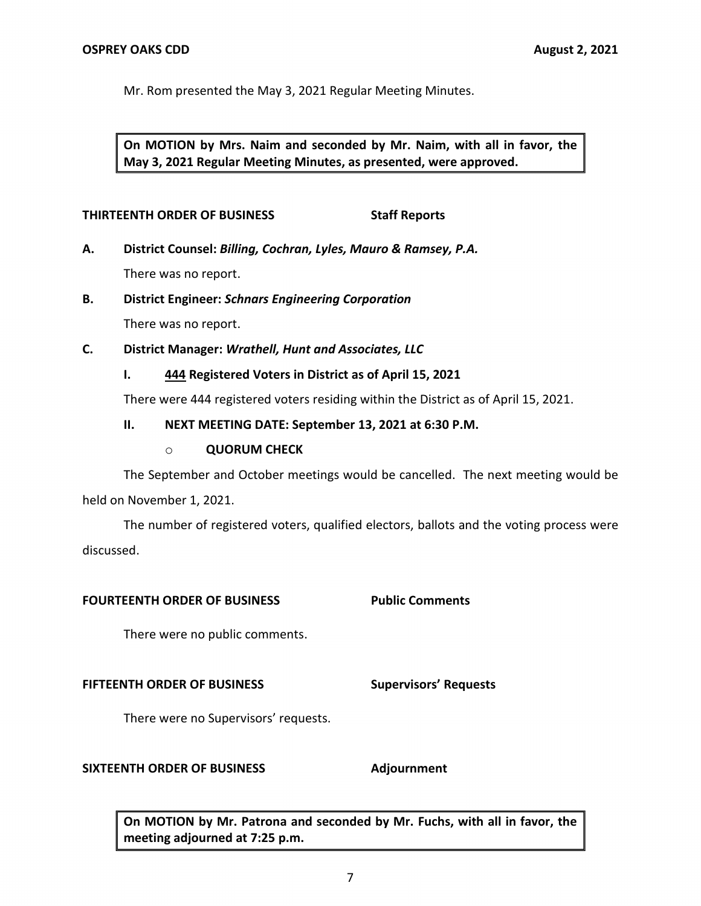Mr. Rom presented the May 3, 2021 Regular Meeting Minutes.

 **On MOTION by Mrs. Naim and seconded by Mr. Naim, with all in favor, the May 3, 2021 Regular Meeting Minutes, as presented, were approved.** 

## **THIRTEENTH ORDER OF BUSINESS Staff Reports**

- **A. District Counsel:** *Billing, Cochran, Lyles, Mauro & Ramsey, P.A.*  There was no report.
- **B. District Engineer:** *Schnars Engineering Corporation*

There was no report.

 **C. District Manager:** *Wrathell, Hunt and Associates, LLC* 

**I. 444 Registered Voters in District as of April 15, 2021** 

There were 444 registered voters residing within the District as of April 15, 2021.

## **II. NEXT MEETING DATE: September 13, 2021 at 6:30 P.M.**

## o **QUORUM CHECK**

The September and October meetings would be cancelled. The next meeting would be held on November 1, 2021.

The number of registered voters, qualified electors, ballots and the voting process were discussed.

## **FOURTEENTH ORDER OF BUSINESS Public Comments**

There were no public comments.

### **FIFTEENTH ORDER OF BUSINESS Supervisors' Requests**

There were no Supervisors' requests.

## **SIXTEENTH ORDER OF BUSINESS Adjournment**

 **On MOTION by Mr. Patrona and seconded by Mr. Fuchs, with all in favor, the meeting adjourned at 7:25 p.m.**